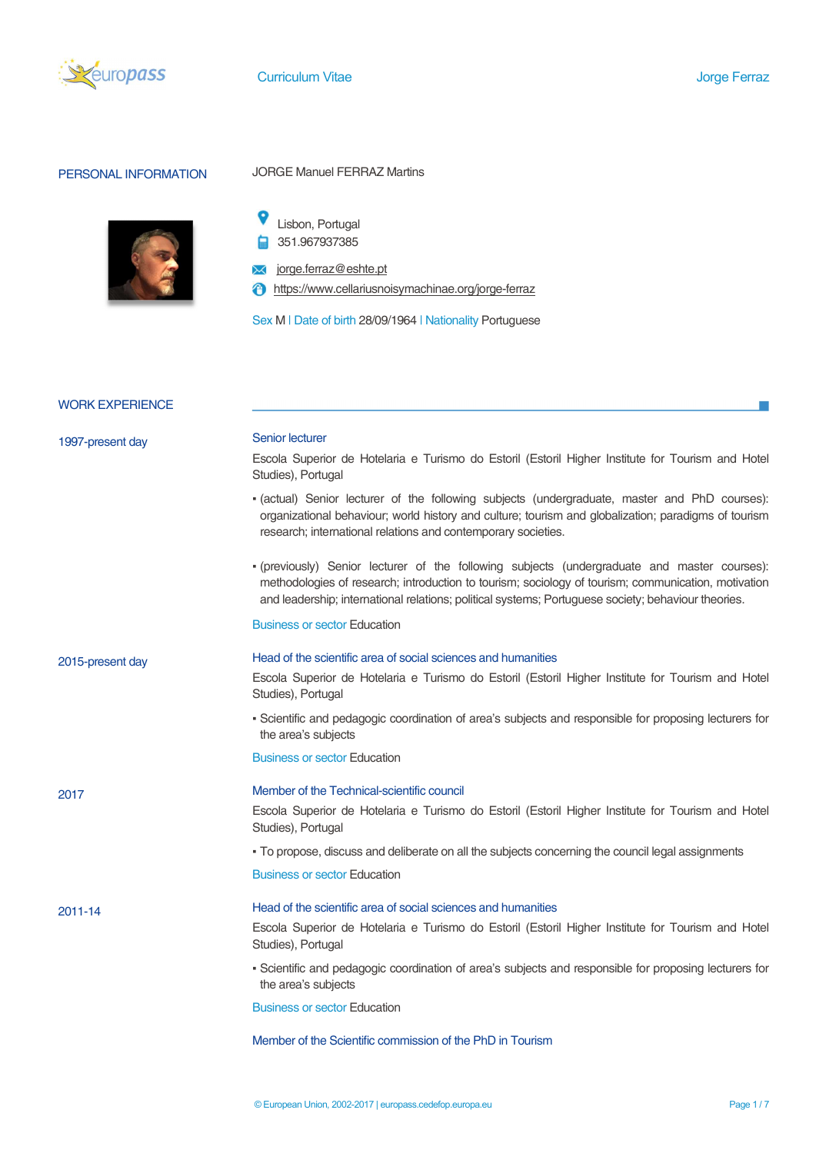

# PERSONAL INFORMATION JORGE Manuel FERRAZ Martins





**M** jorge.ferraz@eshte.pt

https://www.cellariusnoisymachinae.org/jorge-ferraz

Sex M | Date of birth 28/09/1964 | Nationality Portuguese

# WORK EXPERIENCE

| 1997-present day | <b>Senior lecturer</b>                                                                                                                                                                                                                                                                                     |  |  |  |
|------------------|------------------------------------------------------------------------------------------------------------------------------------------------------------------------------------------------------------------------------------------------------------------------------------------------------------|--|--|--|
|                  | Escola Superior de Hotelaria e Turismo do Estoril (Estoril Higher Institute for Tourism and Hotel<br>Studies), Portugal                                                                                                                                                                                    |  |  |  |
|                  | - (actual) Senior lecturer of the following subjects (undergraduate, master and PhD courses):<br>organizational behaviour; world history and culture; tourism and globalization; paradigms of tourism<br>research; international relations and contemporary societies.                                     |  |  |  |
|                  | - (previously) Senior lecturer of the following subjects (undergraduate and master courses):<br>methodologies of research; introduction to tourism; sociology of tourism; communication, motivation<br>and leadership; international relations; political systems; Portuguese society; behaviour theories. |  |  |  |
|                  | <b>Business or sector Education</b>                                                                                                                                                                                                                                                                        |  |  |  |
| 2015-present day | Head of the scientific area of social sciences and humanities                                                                                                                                                                                                                                              |  |  |  |
|                  | Escola Superior de Hotelaria e Turismo do Estoril (Estoril Higher Institute for Tourism and Hotel<br>Studies), Portugal                                                                                                                                                                                    |  |  |  |
|                  | - Scientific and pedagogic coordination of area's subjects and responsible for proposing lecturers for<br>the area's subjects                                                                                                                                                                              |  |  |  |
|                  | <b>Business or sector Education</b>                                                                                                                                                                                                                                                                        |  |  |  |
| 2017             | Member of the Technical-scientific council                                                                                                                                                                                                                                                                 |  |  |  |
|                  | Escola Superior de Hotelaria e Turismo do Estoril (Estoril Higher Institute for Tourism and Hotel<br>Studies), Portugal                                                                                                                                                                                    |  |  |  |
|                  | - To propose, discuss and deliberate on all the subjects concerning the council legal assignments                                                                                                                                                                                                          |  |  |  |
|                  | <b>Business or sector Education</b>                                                                                                                                                                                                                                                                        |  |  |  |
| 2011-14          | Head of the scientific area of social sciences and humanities                                                                                                                                                                                                                                              |  |  |  |
|                  | Escola Superior de Hotelaria e Turismo do Estoril (Estoril Higher Institute for Tourism and Hotel<br>Studies), Portugal                                                                                                                                                                                    |  |  |  |
|                  | - Scientific and pedagogic coordination of area's subjects and responsible for proposing lecturers for<br>the area's subjects                                                                                                                                                                              |  |  |  |
|                  | <b>Business or sector Education</b>                                                                                                                                                                                                                                                                        |  |  |  |
|                  | Member of the Scientific commission of the PhD in Tourism                                                                                                                                                                                                                                                  |  |  |  |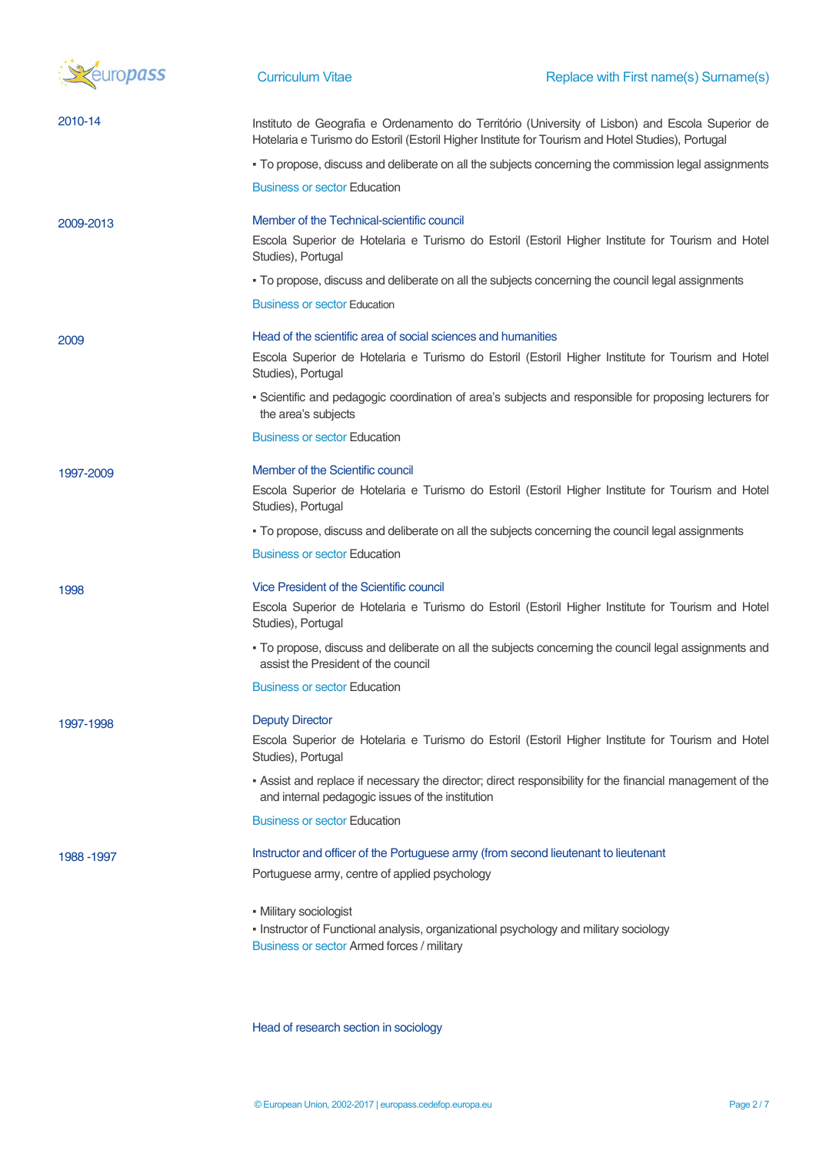| europass   | <b>Curriculum Vitae</b>                                                                                                                                                                               | Replace with First name(s) Surname(s)                                                                     |  |  |  |
|------------|-------------------------------------------------------------------------------------------------------------------------------------------------------------------------------------------------------|-----------------------------------------------------------------------------------------------------------|--|--|--|
| 2010-14    | Instituto de Geografia e Ordenamento do Território (University of Lisbon) and Escola Superior de<br>Hotelaria e Turismo do Estoril (Estoril Higher Institute for Tourism and Hotel Studies), Portugal |                                                                                                           |  |  |  |
|            | - To propose, discuss and deliberate on all the subjects concerning the commission legal assignments                                                                                                  |                                                                                                           |  |  |  |
|            | <b>Business or sector Education</b>                                                                                                                                                                   |                                                                                                           |  |  |  |
| 2009-2013  | Member of the Technical-scientific council                                                                                                                                                            |                                                                                                           |  |  |  |
|            | Escola Superior de Hotelaria e Turismo do Estoril (Estoril Higher Institute for Tourism and Hotel<br>Studies), Portugal                                                                               |                                                                                                           |  |  |  |
|            |                                                                                                                                                                                                       | - To propose, discuss and deliberate on all the subjects concerning the council legal assignments         |  |  |  |
|            | <b>Business or sector Education</b>                                                                                                                                                                   |                                                                                                           |  |  |  |
| 2009       | Head of the scientific area of social sciences and humanities                                                                                                                                         |                                                                                                           |  |  |  |
|            | Escola Superior de Hotelaria e Turismo do Estoril (Estoril Higher Institute for Tourism and Hotel<br>Studies), Portugal                                                                               |                                                                                                           |  |  |  |
|            | - Scientific and pedagogic coordination of area's subjects and responsible for proposing lecturers for<br>the area's subjects                                                                         |                                                                                                           |  |  |  |
|            | <b>Business or sector Education</b>                                                                                                                                                                   |                                                                                                           |  |  |  |
| 1997-2009  | Member of the Scientific council                                                                                                                                                                      |                                                                                                           |  |  |  |
|            | Escola Superior de Hotelaria e Turismo do Estoril (Estoril Higher Institute for Tourism and Hotel<br>Studies), Portugal                                                                               |                                                                                                           |  |  |  |
|            | - To propose, discuss and deliberate on all the subjects concerning the council legal assignments                                                                                                     |                                                                                                           |  |  |  |
|            | <b>Business or sector Education</b>                                                                                                                                                                   |                                                                                                           |  |  |  |
| 1998       | Vice President of the Scientific council                                                                                                                                                              |                                                                                                           |  |  |  |
|            | Escola Superior de Hotelaria e Turismo do Estoril (Estoril Higher Institute for Tourism and Hotel<br>Studies), Portugal                                                                               |                                                                                                           |  |  |  |
|            | assist the President of the council                                                                                                                                                                   | - To propose, discuss and deliberate on all the subjects concerning the council legal assignments and     |  |  |  |
|            | <b>Business or sector Education</b>                                                                                                                                                                   |                                                                                                           |  |  |  |
| 1997-1998  | <b>Deputy Director</b>                                                                                                                                                                                |                                                                                                           |  |  |  |
|            | Escola Superior de Hotelaria e Turismo do Estoril (Estoril Higher Institute for Tourism and Hotel<br>Studies), Portugal                                                                               |                                                                                                           |  |  |  |
|            | and internal pedagogic issues of the institution                                                                                                                                                      | - Assist and replace if necessary the director; direct responsibility for the financial management of the |  |  |  |
|            | <b>Business or sector Education</b>                                                                                                                                                                   |                                                                                                           |  |  |  |
| 1988 -1997 |                                                                                                                                                                                                       | Instructor and officer of the Portuguese army (from second lieutenant to lieutenant                       |  |  |  |
|            | Portuguese army, centre of applied psychology                                                                                                                                                         |                                                                                                           |  |  |  |
|            | • Military sociologist                                                                                                                                                                                |                                                                                                           |  |  |  |
|            | Business or sector Armed forces / military                                                                                                                                                            | • Instructor of Functional analysis, organizational psychology and military sociology                     |  |  |  |
|            |                                                                                                                                                                                                       |                                                                                                           |  |  |  |

Head of research section in sociology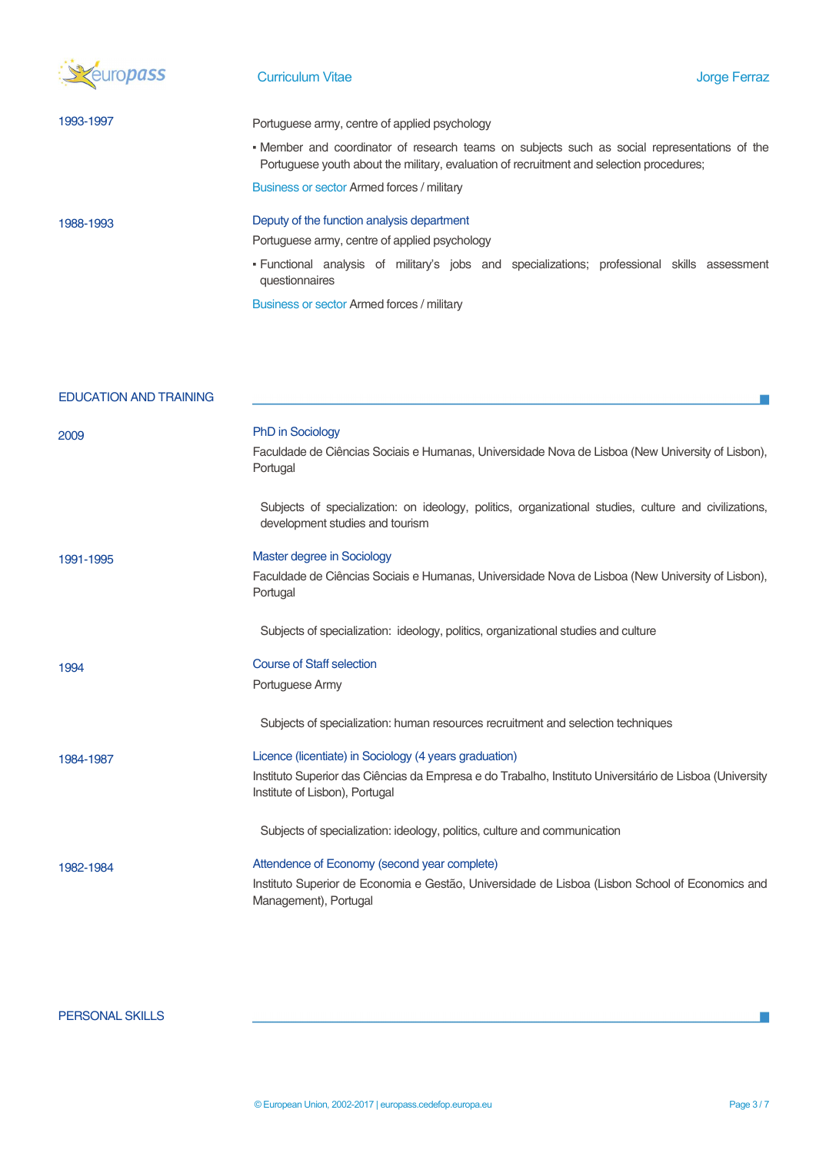

### **Curriculum Vitae Curriculum Vitae Access Curriculum Vitae Access Curriculum Vitae Access Curriculum Vitae Access**

| 1993-1997                             | Portuguese army, centre of applied psychology<br>• Member and coordinator of research teams on subjects such as social representations of the<br>Portuguese youth about the military, evaluation of recruitment and selection procedures;<br>Business or sector Armed forces / military |
|---------------------------------------|-----------------------------------------------------------------------------------------------------------------------------------------------------------------------------------------------------------------------------------------------------------------------------------------|
| 1988-1993                             | Deputy of the function analysis department<br>Portuguese army, centre of applied psychology<br>. Functional analysis of military's jobs and specializations; professional skills assessment<br>questionnaires<br>Business or sector Armed forces / military                             |
| <b>EDUCATION AND TRAINING</b><br>2009 | <b>PhD in Sociology</b><br>Faculdade de Ciências Sociais e Humanas, Universidade Nova de Lisboa (New University of Lisbon),<br>Portugal                                                                                                                                                 |
| 1991-1995                             | Subjects of specialization: on ideology, politics, organizational studies, culture and civilizations,<br>development studies and tourism<br>Master degree in Sociology<br>Faculdade de Ciências Sociais e Humanas, Universidade Nova de Lisboa (New University of Lisbon),<br>Portugal  |

Subjects of specialization: ideology, politics, organizational studies and culture

1994 **Course of Staff selection** 

Portuguese Army

Subjects of specialization: human resources recruitment and selection techniques

1984-1987 Licence (licentiate) in Sociology (4 years graduation) Instituto Superior das Ciências da Empresa e do Trabalho, Instituto Universitário de Lisboa (University Institute of Lisbon), Portugal Subjects of specialization: ideology, politics, culture and communication 1982-1984 Attendence of Economy (second year complete) Instituto Superior de Economia e Gestão, Universidade de Lisboa (Lisbon School of Economics and Management), Portugal

# PERSONAL SKILLS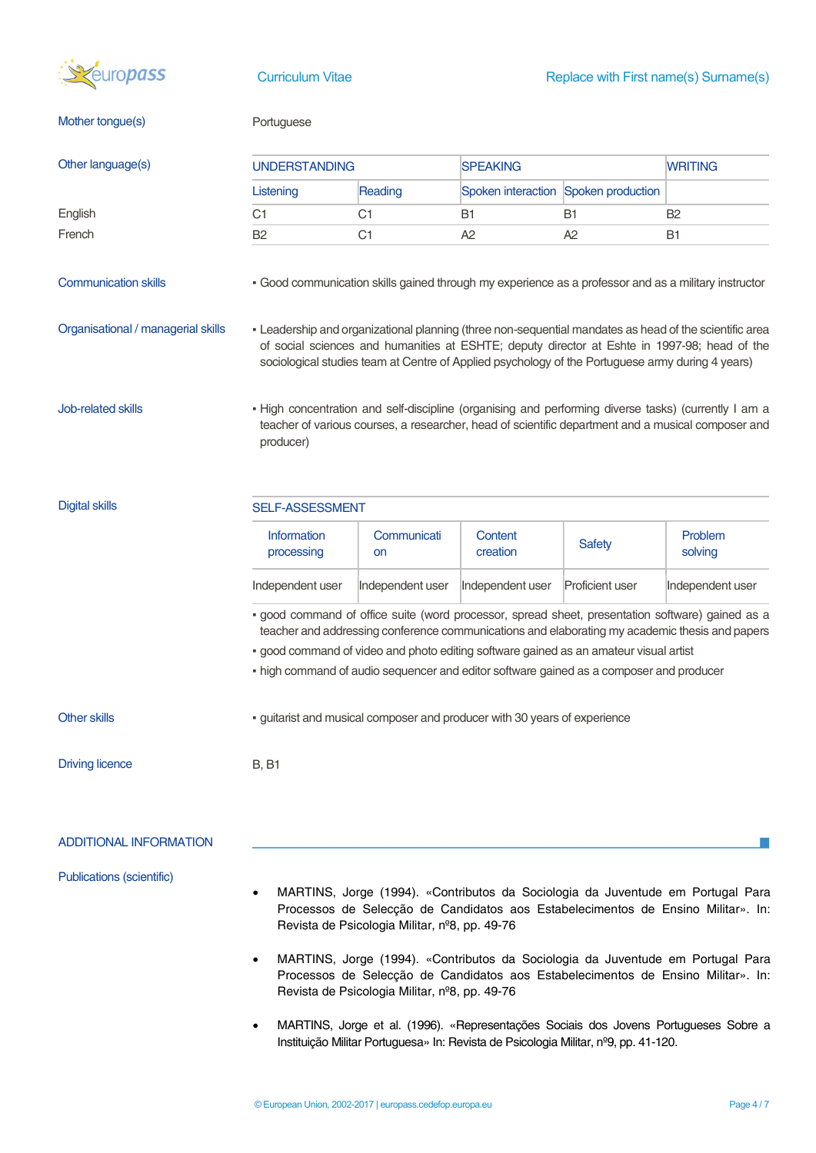

### Mother tongue(s) example a Portuguese

| Other language(s) | <b>UNDERSTANDING</b> |         | <b>SPEAKING</b> |                                      | <b>WRITING</b> |
|-------------------|----------------------|---------|-----------------|--------------------------------------|----------------|
|                   | Listening            | Reading |                 | Spoken interaction Spoken production |                |
| English           | C1                   | C1      | В1              | B1                                   | <b>B2</b>      |
| French            | B <sub>2</sub>       | C1      | A2              | A <sub>2</sub>                       | B <sub>1</sub> |

- Organisational / managerial skills Leadership and organizational planning (three non-sequential mandates as head of the scientific area of social sciences and humanities at ESHTE; deputy director at Eshte in 1997-98; head of the sociological studies team at Centre of Applied psychology of the Portuguese army during 4 years)
- Job-related skills  **High concentration and self-discipline (organising and performing diverse tasks) (currently I am a** teacher of various courses, a researcher, head of scientific department and a musical composer and producer)

### Digital skills SELF-ASSESSMENT

| <b>Information</b> | Communicati      | Content          | <b>Safety</b>   | Problem          |
|--------------------|------------------|------------------|-----------------|------------------|
| processing         | <b>on</b>        | creation         |                 | solving          |
| Independent user   | Independent user | Independent user | Proficient user | Independent user |

▪ good command of office suite (word processor, spread sheet, presentation software) gained as a teacher and addressing conference communications and elaborating my academic thesis and papers

▪ good command of video and photo editing software gained as an amateur visual artist

▪ high command of audio sequencer and editor software gained as a composer and producer

Other skills **• guitarist and musical composer and producer with 30 years of experience** 

### Driving licence B, B1

ADDITIONAL INFORMATION Publications (scientific) MARTINS, Jorge (1994). «Contributos da Sociologia da Juventude em Portugal Para Processos de Selecção de Candidatos aos Estabelecimentos de Ensino Militar». In: Revista de Psicologia Militar, nº8, pp. 49-76 MARTINS, Jorge (1994). «Contributos da Sociologia da Juventude em Portugal Para Processos de Selecção de Candidatos aos Estabelecimentos de Ensino Militar». In: Revista de Psicologia Militar, nº8, pp. 49-76 MARTINS, Jorge et al. (1996). «Representações Sociais dos Jovens Portugueses Sobre a Instituição Militar Portuguesa» In: Revista de Psicologia Militar, nº9, pp. 41-120.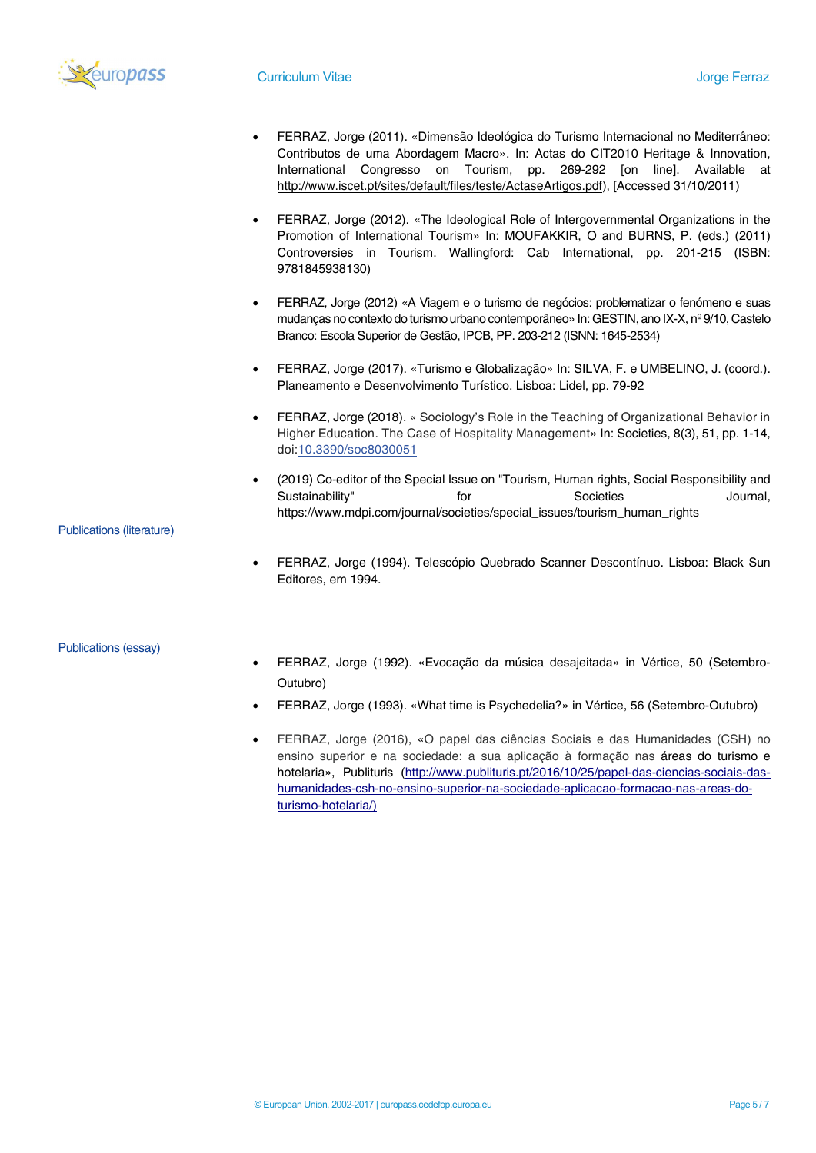

- FERRAZ, Jorge (2011). «Dimensão Ideológica do Turismo Internacional no Mediterrâneo: Contributos de uma Abordagem Macro». In: Actas do CIT2010 Heritage & Innovation, International Congresso on Tourism, pp. 269-292 [on line]. Available at http://www.iscet.pt/sites/default/files/teste/ActaseArtigos.pdf), [Accessed 31/10/2011)
- FERRAZ, Jorge (2012). «The Ideological Role of Intergovernmental Organizations in the Promotion of International Tourism» In: MOUFAKKIR, O and BURNS, P. (eds.) (2011) Controversies in Tourism. Wallingford: Cab International, pp. 201-215 (ISBN: 9781845938130)
- FERRAZ, Jorge (2012) «A Viagem e o turismo de negócios: problematizar o fenómeno e suas mudanças no contexto do turismo urbano contemporâneo» In: GESTIN, ano IX-X, nº 9/10, Castelo Branco: Escola Superior de Gestão, IPCB, PP. 203-212 (ISNN: 1645-2534)
- FERRAZ, Jorge (2017). «Turismo e Globalização» In: SILVA, F. e UMBELINO, J. (coord.). Planeamento e Desenvolvimento Turístico. Lisboa: Lidel, pp. 79-92
- FERRAZ, Jorge (2018). « Sociology's Role in the Teaching of Organizational Behavior in Higher Education. The Case of Hospitality Management» In: Societies, 8(3), 51, pp. 1-14, doi:10.3390/soc8030051
- (2019) Co-editor of the Special Issue on "Tourism, Human rights, Social Responsibility and Sustainability" for Societies Journal, https://www.mdpi.com/journal/societies/special\_issues/tourism\_human\_rights

Publications (literature)

 FERRAZ, Jorge (1994). Telescópio Quebrado Scanner Descontínuo. Lisboa: Black Sun Editores, em 1994.

### Publications (essay)

- FERRAZ, Jorge (1992). «Evocação da música desajeitada» in Vértice, 50 (Setembro-Outubro)
- FERRAZ, Jorge (1993). «What time is Psychedelia?» in Vértice, 56 (Setembro-Outubro)
- FERRAZ, Jorge (2016), «O papel das ciências Sociais e das Humanidades (CSH) no ensino superior e na sociedade: a sua aplicação à formação nas áreas do turismo e hotelaria», Publituris (http://www.publituris.pt/2016/10/25/papel-das-ciencias-sociais-dashumanidades-csh-no-ensino-superior-na-sociedade-aplicacao-formacao-nas-areas-doturismo-hotelaria/)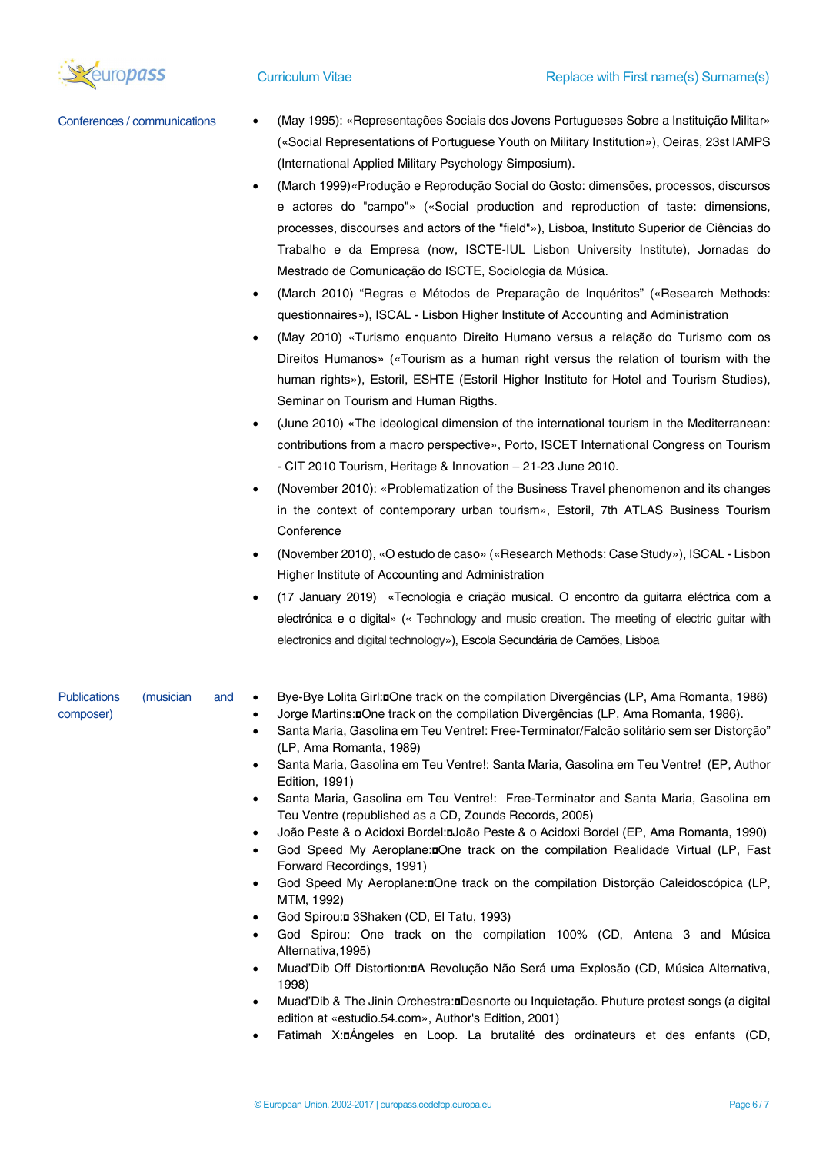

- Conferences / communications (May 1995): «Representações Sociais dos Jovens Portugueses Sobre a Instituição Militar» («Social Representations of Portuguese Youth on Military Institution»), Oeiras, 23st IAMPS (International Applied Military Psychology Simposium).
	- (March 1999)«Produção e Reprodução Social do Gosto: dimensões, processos, discursos e actores do "campo"» («Social production and reproduction of taste: dimensions, processes, discourses and actors of the "field"»), Lisboa, Instituto Superior de Ciências do Trabalho e da Empresa (now, ISCTE-IUL Lisbon University Institute), Jornadas do Mestrado de Comunicação do ISCTE, Sociologia da Música.
	- (March 2010) "Regras e Métodos de Preparação de Inquéritos" («Research Methods: questionnaires»), ISCAL - Lisbon Higher Institute of Accounting and Administration
	- (May 2010) «Turismo enquanto Direito Humano versus a relação do Turismo com os Direitos Humanos» («Tourism as a human right versus the relation of tourism with the human rights»), Estoril, ESHTE (Estoril Higher Institute for Hotel and Tourism Studies), Seminar on Tourism and Human Rigths.
	- (June 2010) «The ideological dimension of the international tourism in the Mediterranean: contributions from a macro perspective», Porto, ISCET International Congress on Tourism - CIT 2010 Tourism, Heritage & Innovation – 21-23 June 2010.
	- (November 2010): «Problematization of the Business Travel phenomenon and its changes in the context of contemporary urban tourism», Estoril, 7th ATLAS Business Tourism **Conference**
	- (November 2010), «O estudo de caso» («Research Methods: Case Study»), ISCAL Lisbon Higher Institute of Accounting and Administration
	- (17 January 2019) «Tecnologia e criação musical. O encontro da guitarra eléctrica com a electrónica e o digital» (« Technology and music creation. The meeting of electric guitar with electronics and digital technology»), Escola Secundária de Camões, Lisboa

| <b>Publications</b> | (musician) | and |  | Bye-Bye Lolita Girl:none track on the compilation Divergências (LP, Ama Romanta, 1986)     |
|---------------------|------------|-----|--|--------------------------------------------------------------------------------------------|
| composer)           |            |     |  | Jorge Martins: <b>n</b> One track on the compilation Divergências (LP, Ama Romanta, 1986). |
|                     |            |     |  | Santa Maria, Gasolina em Teu Ventre!: Free-Terminator/Falcão solitário sem ser Distorcão"  |
|                     |            |     |  | (LP, Ama Romanta, 1989)                                                                    |
|                     |            |     |  | Santa Maria, Gasolina em Teu Ventre!: Santa Maria, Gasolina em Teu Ventre! (EP, Author     |
|                     |            |     |  | <b>Edition, 1991)</b>                                                                      |

- Santa Maria, Gasolina em Teu Ventre!: Free-Terminator and Santa Maria, Gasolina em Teu Ventre (republished as a CD, Zounds Records, 2005)
- João Peste & o Acidoxi Bordel:
João Peste & o Acidoxi Bordel (EP, Ama Romanta, 1990)
- God Speed My Aeroplane:**n**One track on the compilation Realidade Virtual (LP, Fast Forward Recordings, 1991)
- God Speed My Aeroplane: Done track on the compilation Distorção Caleidoscópica (LP, MTM, 1992)
- God Spirou:
 3Shaken (CD, El Tatu, 1993)
- God Spirou: One track on the compilation 100% (CD, Antena 3 and Música Alternativa,1995)
- Muad'Dib Off Distortion:
A Revolução Não Será uma Explosão (CD, Música Alternativa, 1998)
- Muad'Dib & The Jinin Orchestra:
Desnorte ou Inquietação. Phuture protest songs (a digital edition at «estudio.54.com», Author's Edition, 2001)
- Fatimah X:
Ángeles en Loop. La brutalité des ordinateurs et des enfants (CD,